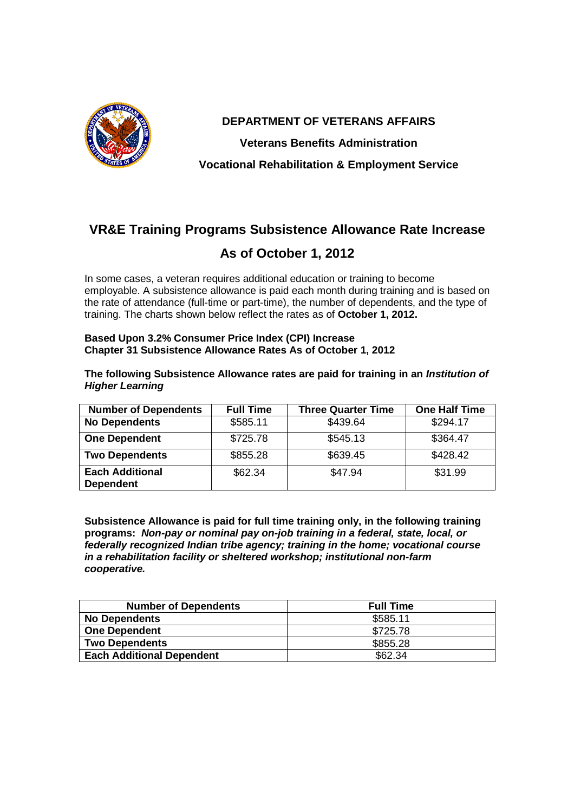

**DEPARTMENT OF VETERANS AFFAIRS Veterans Benefits Administration Vocational Rehabilitation & Employment Service**

# **VR&E Training Programs Subsistence Allowance Rate Increase**

## **As of October 1, 2012**

In some cases, a veteran requires additional education or training to become employable. A subsistence allowance is paid each month during training and is based on the rate of attendance (full-time or part-time), the number of dependents, and the type of training. The charts shown below reflect the rates as of **October 1, 2012.**

#### **Based Upon 3.2% Consumer Price Index (CPI) Increase Chapter 31 Subsistence Allowance Rates As of October 1, 2012**

#### **The following Subsistence Allowance rates are paid for training in an** *Institution of Higher Learning*

| <b>Number of Dependents</b>                | <b>Full Time</b> | <b>Three Quarter Time</b> | <b>One Half Time</b> |
|--------------------------------------------|------------------|---------------------------|----------------------|
| <b>No Dependents</b>                       | \$585.11         | \$439.64                  | \$294.17             |
| <b>One Dependent</b>                       | \$725.78         | \$545.13                  | \$364.47             |
| <b>Two Dependents</b>                      | \$855.28         | \$639.45                  | \$428.42             |
| <b>Each Additional</b><br><b>Dependent</b> | \$62.34          | \$47.94                   | \$31.99              |

**Subsistence Allowance is paid for full time training only, in the following training programs:** *Non-pay or nominal pay on-job training in a federal, state, local, or federally recognized Indian tribe agency; training in the home; vocational course in a rehabilitation facility or sheltered workshop; institutional non-farm cooperative.*

| <b>Number of Dependents</b>      | <b>Full Time</b> |
|----------------------------------|------------------|
| <b>No Dependents</b>             | \$585.11         |
| <b>One Dependent</b>             | \$725.78         |
| <b>Two Dependents</b>            | \$855.28         |
| <b>Each Additional Dependent</b> | \$62.34          |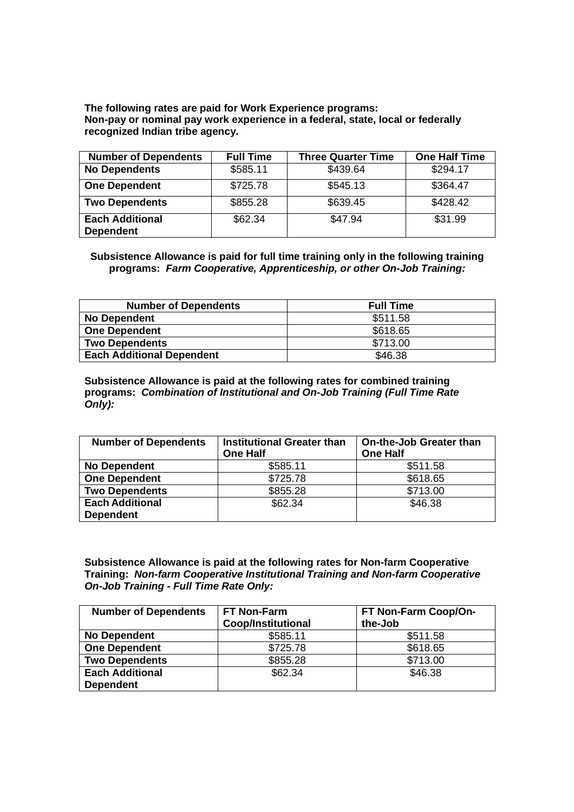**The following rates are paid for Work Experience programs: Non-pay or nominal pay work experience in a federal, state, local or federally recognized Indian tribe agency.**

| <b>Number of Dependents</b>                | <b>Full Time</b> | <b>Three Quarter Time</b> | <b>One Half Time</b> |
|--------------------------------------------|------------------|---------------------------|----------------------|
| <b>No Dependents</b>                       | \$585.11         | \$439.64                  | \$294.17             |
| <b>One Dependent</b>                       | \$725.78         | \$545.13                  | \$364.47             |
| <b>Two Dependents</b>                      | \$855.28         | \$639.45                  | \$428.42             |
| <b>Each Additional</b><br><b>Dependent</b> | \$62.34          | \$47.94                   | \$31.99              |

**Subsistence Allowance is paid for full time training only in the following training programs:** *Farm Cooperative, Apprenticeship, or other On-Job Training:*

| <b>Number of Dependents</b>      | <b>Full Time</b> |
|----------------------------------|------------------|
| No Dependent                     | \$511.58         |
| <b>One Dependent</b>             | \$618.65         |
| <b>Two Dependents</b>            | \$713.00         |
| <b>Each Additional Dependent</b> | \$46.38          |

**Subsistence Allowance is paid at the following rates for combined training programs:** *Combination of Institutional and On-Job Training (Full Time Rate Only):*

| <b>Number of Dependents</b> | <b>Institutional Greater than</b> | On-the-Job Greater than |
|-----------------------------|-----------------------------------|-------------------------|
|                             | <b>One Half</b>                   | <b>One Half</b>         |
| <b>No Dependent</b>         | \$585.11                          | \$511.58                |
| <b>One Dependent</b>        | \$725.78                          | \$618.65                |
| <b>Two Dependents</b>       | \$855.28                          | \$713.00                |
| <b>Each Additional</b>      | \$62.34                           | \$46.38                 |
| <b>Dependent</b>            |                                   |                         |

**Subsistence Allowance is paid at the following rates for Non-farm Cooperative Training:** *Non-farm Cooperative Institutional Training and Non-farm Cooperative On-Job Training - Full Time Rate Only:*

| <b>Number of Dependents</b> | <b>FT Non-Farm</b>        | FT Non-Farm Coop/On- |
|-----------------------------|---------------------------|----------------------|
|                             | <b>Coop/Institutional</b> | the-Job              |
| <b>No Dependent</b>         | \$585.11                  | \$511.58             |
| <b>One Dependent</b>        | \$725.78                  | \$618.65             |
| <b>Two Dependents</b>       | \$855.28                  | \$713.00             |
| <b>Each Additional</b>      | \$62.34                   | \$46.38              |
| <b>Dependent</b>            |                           |                      |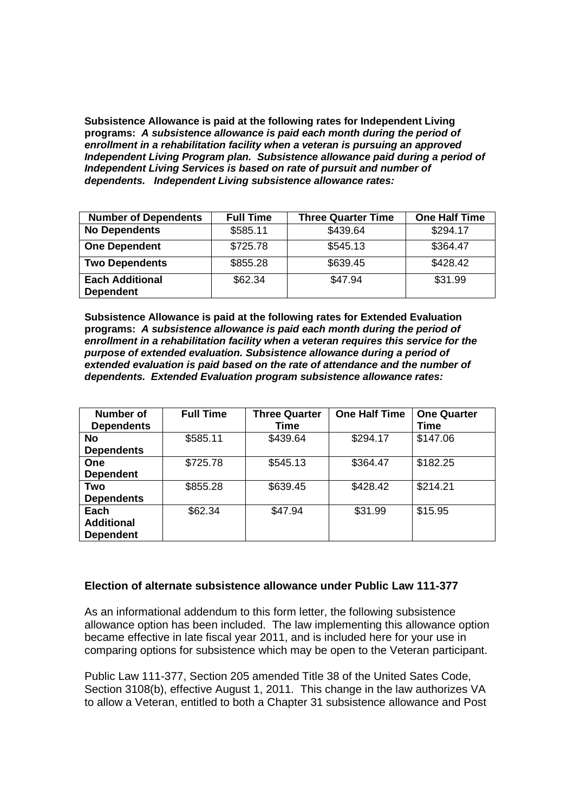**Subsistence Allowance is paid at the following rates for Independent Living programs:** *A subsistence allowance is paid each month during the period of enrollment in a rehabilitation facility when a veteran is pursuing an approved Independent Living Program plan. Subsistence allowance paid during a period of Independent Living Services is based on rate of pursuit and number of dependents. Independent Living subsistence allowance rates:*

| <b>Number of Dependents</b>                | <b>Full Time</b> | <b>Three Quarter Time</b> | <b>One Half Time</b> |
|--------------------------------------------|------------------|---------------------------|----------------------|
| <b>No Dependents</b>                       | \$585.11         | \$439.64                  | \$294.17             |
| <b>One Dependent</b>                       | \$725.78         | \$545.13                  | \$364.47             |
| <b>Two Dependents</b>                      | \$855.28         | \$639.45                  | \$428.42             |
| <b>Each Additional</b><br><b>Dependent</b> | \$62.34          | \$47.94                   | \$31.99              |

**Subsistence Allowance is paid at the following rates for Extended Evaluation programs:** *A subsistence allowance is paid each month during the period of enrollment in a rehabilitation facility when a veteran requires this service for the purpose of extended evaluation. Subsistence allowance during a period of extended evaluation is paid based on the rate of attendance and the number of dependents. Extended Evaluation program subsistence allowance rates:*

| Number of         | <b>Full Time</b> | <b>Three Quarter</b> | <b>One Half Time</b> | <b>One Quarter</b> |
|-------------------|------------------|----------------------|----------------------|--------------------|
| <b>Dependents</b> |                  | Time                 |                      | <b>Time</b>        |
| <b>No</b>         | \$585.11         | \$439.64             | \$294.17             | \$147.06           |
| <b>Dependents</b> |                  |                      |                      |                    |
| <b>One</b>        | \$725.78         | \$545.13             | \$364.47             | \$182.25           |
| <b>Dependent</b>  |                  |                      |                      |                    |
| Two               | \$855.28         | \$639.45             | \$428.42             | \$214.21           |
| <b>Dependents</b> |                  |                      |                      |                    |
| Each              | \$62.34          | \$47.94              | \$31.99              | \$15.95            |
| <b>Additional</b> |                  |                      |                      |                    |
| <b>Dependent</b>  |                  |                      |                      |                    |

### **Election of alternate subsistence allowance under Public Law 111-377**

As an informational addendum to this form letter, the following subsistence allowance option has been included. The law implementing this allowance option became effective in late fiscal year 2011, and is included here for your use in comparing options for subsistence which may be open to the Veteran participant.

Public Law 111-377, Section 205 amended Title 38 of the United Sates Code, Section 3108(b), effective August 1, 2011. This change in the law authorizes VA to allow a Veteran, entitled to both a Chapter 31 subsistence allowance and Post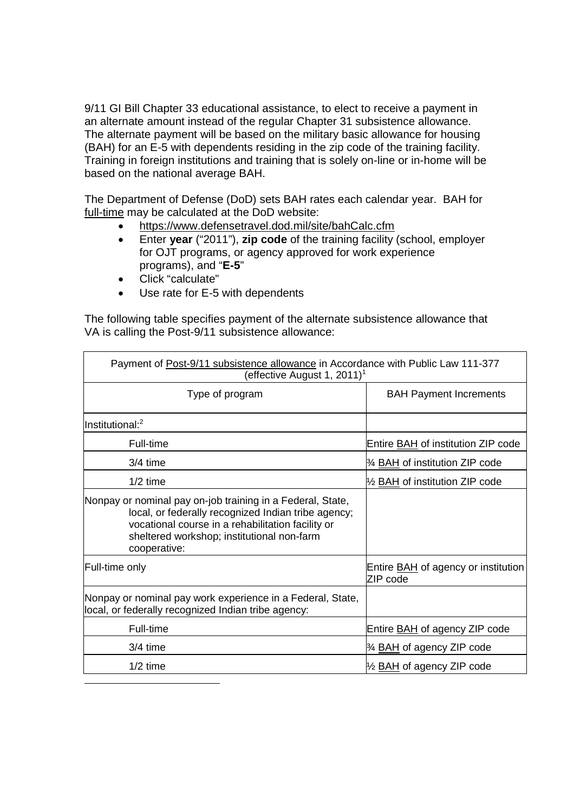9/11 GI Bill Chapter 33 educational assistance, to elect to receive a payment in an alternate amount instead of the regular Chapter 31 subsistence allowance. The alternate payment will be based on the military basic allowance for housing (BAH) for an E-5 with dependents residing in the zip code of the training facility. Training in foreign institutions and training that is solely on-line or in-home will be based on the national average BAH.

The Department of Defense (DoD) sets BAH rates each calendar year. BAH for full-time may be calculated at the DoD website:

- https://www.defensetravel.dod.mil/site/bahCalc.cfm
- Enter **year** ("2011"), **zip code** of the training facility (school, employer for OJT programs, or agency approved for work experience programs), and "**E-5**"
- Click "calculate"
- Use rate for E-5 with dependents

The following table specifies payment of the alternate subsistence allowance that VA is calling the Post-9/11 subsistence allowance:

| Payment of Post-9/11 subsistence allowance in Accordance with Public Law 111-377<br>(effective August 1, 2011) <sup>1</sup>                                                                                                          |                                                        |  |
|--------------------------------------------------------------------------------------------------------------------------------------------------------------------------------------------------------------------------------------|--------------------------------------------------------|--|
| Type of program                                                                                                                                                                                                                      | <b>BAH Payment Increments</b>                          |  |
| $ln$ stitutional: <sup>2</sup>                                                                                                                                                                                                       |                                                        |  |
| Full-time                                                                                                                                                                                                                            | Entire <b>BAH</b> of institution ZIP code              |  |
| $3/4$ time                                                                                                                                                                                                                           | 3⁄4 <b>BAH</b> of institution ZIP code                 |  |
| $1/2$ time                                                                                                                                                                                                                           | 1/2 <b>BAH</b> of institution ZIP code                 |  |
| Nonpay or nominal pay on-job training in a Federal, State,<br>local, or federally recognized Indian tribe agency;<br>vocational course in a rehabilitation facility or<br>sheltered workshop; institutional non-farm<br>cooperative: |                                                        |  |
| Full-time only                                                                                                                                                                                                                       | Entire <b>BAH</b> of agency or institution<br>ZIP code |  |
| Nonpay or nominal pay work experience in a Federal, State,<br>local, or federally recognized Indian tribe agency:                                                                                                                    |                                                        |  |
| Full-time                                                                                                                                                                                                                            | Entire <b>BAH</b> of agency ZIP code                   |  |
| $3/4$ time                                                                                                                                                                                                                           | 3⁄4 <b>BAH</b> of agency ZIP code                      |  |
| $1/2$ time                                                                                                                                                                                                                           | 1/2 <b>BAH</b> of agency ZIP code                      |  |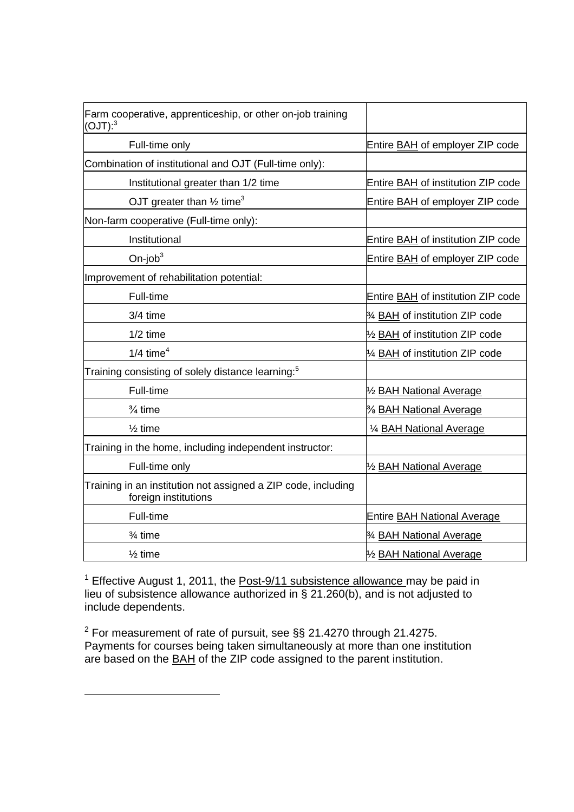| Farm cooperative, apprenticeship, or other on-job training<br>(OJT): <sup>3</sup>     |                                           |
|---------------------------------------------------------------------------------------|-------------------------------------------|
| Full-time only                                                                        | Entire <b>BAH</b> of employer ZIP code    |
| Combination of institutional and OJT (Full-time only):                                |                                           |
| Institutional greater than 1/2 time                                                   | Entire BAH of institution ZIP code        |
| OJT greater than $\frac{1}{2}$ time <sup>3</sup>                                      | Entire <b>BAH</b> of employer ZIP code    |
| Non-farm cooperative (Full-time only):                                                |                                           |
| Institutional                                                                         | Entire BAH of institution ZIP code        |
| On-job $3$                                                                            | Entire <b>BAH</b> of employer ZIP code    |
| Improvement of rehabilitation potential:                                              |                                           |
| Full-time                                                                             | Entire <b>BAH</b> of institution ZIP code |
| 3/4 time                                                                              | 3⁄4 BAH of institution ZIP code           |
| $1/2$ time                                                                            | 1/2 BAH of institution ZIP code           |
| $1/4$ time <sup>4</sup>                                                               | 1/4 BAH of institution ZIP code           |
| Training consisting of solely distance learning: $5$                                  |                                           |
| Full-time                                                                             | 1/2 <b>BAH National Average</b>           |
| $\frac{3}{4}$ time                                                                    | % <b>BAH National Average</b>             |
| $\frac{1}{2}$ time                                                                    | 1/4 BAH National Average                  |
| Training in the home, including independent instructor:                               |                                           |
| Full-time only                                                                        | 1/2 BAH National Average                  |
| Training in an institution not assigned a ZIP code, including<br>foreign institutions |                                           |
| Full-time                                                                             | <b>Entire BAH National Average</b>        |
| $\frac{3}{4}$ time                                                                    | 3⁄4 BAH National Average                  |
| $\frac{1}{2}$ time                                                                    | 1/2 BAH National Average                  |

<sup>1</sup> Effective August 1, 2011, the **Post-9/11 subsistence allowance** may be paid in lieu of subsistence allowance authorized in § 21.260(b), and is not adjusted to include dependents.

<sup>2</sup> For measurement of rate of pursuit, see §§ 21.4270 through 21.4275. Payments for courses being taken simultaneously at more than one institution are based on the BAH of the ZIP code assigned to the parent institution.